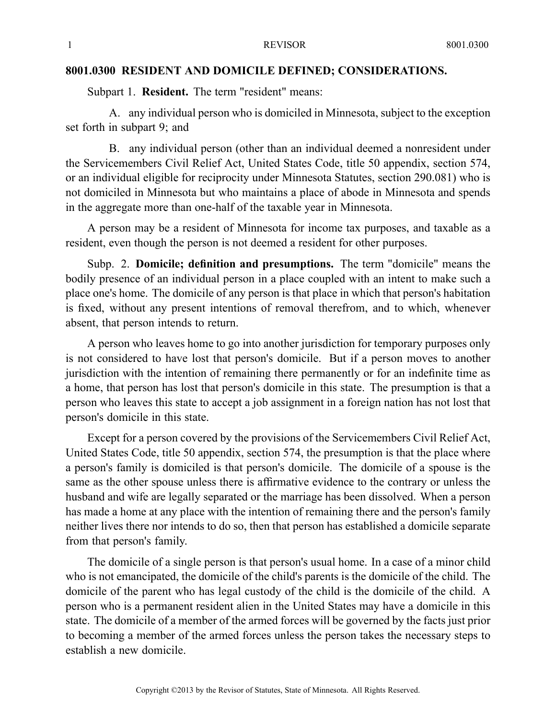## **8001.0300 RESIDENT AND DOMICILE DEFINED; CONSIDERATIONS.**

Subpart 1. **Resident.** The term "resident" means:

A. any individual person who is domiciled in Minnesota, subject to the exception set forth in subpart 9; and

B. any individual person (other than an individual deemed <sup>a</sup> nonresident under the Servicemembers Civil Relief Act, United States Code, title 50 appendix, section 574, or an individual eligible for reciprocity under Minnesota Statutes, section 290.081) who is not domiciled in Minnesota but who maintains <sup>a</sup> place of abode in Minnesota and spends in the aggregate more than one-half of the taxable year in Minnesota.

A person may be <sup>a</sup> resident of Minnesota for income tax purposes, and taxable as <sup>a</sup> resident, even though the person is not deemed <sup>a</sup> resident for other purposes.

Subp. 2. **Domicile; definition and presumptions.** The term "domicile" means the bodily presence of an individual person in <sup>a</sup> place coupled with an intent to make such <sup>a</sup> place one's home. The domicile of any person is that place in which that person's habitation is fixed, without any presen<sup>t</sup> intentions of removal therefrom, and to which, whenever absent, that person intends to return.

A person who leaves home to go into another jurisdiction for temporary purposes only is not considered to have lost that person's domicile. But if <sup>a</sup> person moves to another jurisdiction with the intention of remaining there permanently or for an indefinite time as <sup>a</sup> home, that person has lost that person's domicile in this state. The presumption is that <sup>a</sup> person who leaves this state to accep<sup>t</sup> <sup>a</sup> job assignment in <sup>a</sup> foreign nation has not lost that person's domicile in this state.

Except for <sup>a</sup> person covered by the provisions of the Servicemembers Civil Relief Act, United States Code, title 50 appendix, section 574, the presumption is that the place where <sup>a</sup> person's family is domiciled is that person's domicile. The domicile of <sup>a</sup> spouse is the same as the other spouse unless there is affirmative evidence to the contrary or unless the husband and wife are legally separated or the marriage has been dissolved. When <sup>a</sup> person has made <sup>a</sup> home at any place with the intention of remaining there and the person's family neither lives there nor intends to do so, then that person has established <sup>a</sup> domicile separate from that person's family.

The domicile of <sup>a</sup> single person is that person's usual home. In <sup>a</sup> case of <sup>a</sup> minor child who is not emancipated, the domicile of the child's parents is the domicile of the child. The domicile of the paren<sup>t</sup> who has legal custody of the child is the domicile of the child. A person who is <sup>a</sup> permanen<sup>t</sup> resident alien in the United States may have <sup>a</sup> domicile in this state. The domicile of <sup>a</sup> member of the armed forces will be governed by the facts just prior to becoming <sup>a</sup> member of the armed forces unless the person takes the necessary steps to establish <sup>a</sup> new domicile.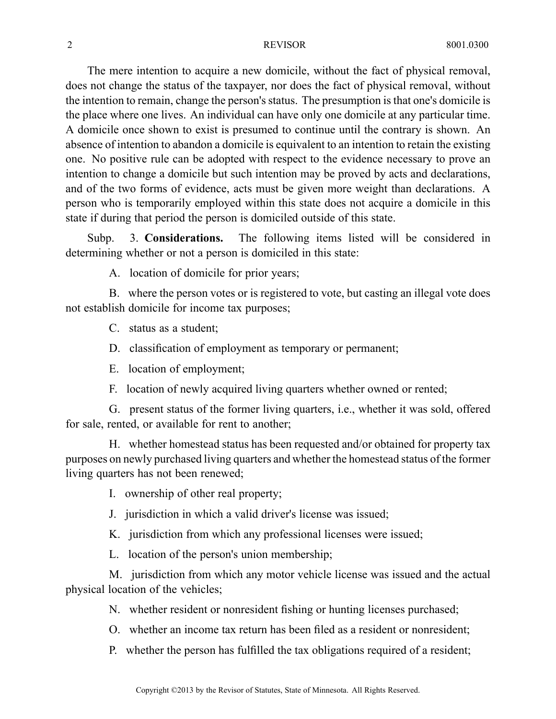The mere intention to acquire <sup>a</sup> new domicile, without the fact of physical removal, does not change the status of the taxpayer, nor does the fact of physical removal, without the intention to remain, change the person's status. The presumption is that one's domicile is the place where one lives. An individual can have only one domicile at any particular time. A domicile once shown to exist is presumed to continue until the contrary is shown. An absence of intention to abandon <sup>a</sup> domicile is equivalent to an intention to retain the existing one. No positive rule can be adopted with respec<sup>t</sup> to the evidence necessary to prove an intention to change <sup>a</sup> domicile but such intention may be proved by acts and declarations, and of the two forms of evidence, acts must be given more weight than declarations. A person who is temporarily employed within this state does not acquire <sup>a</sup> domicile in this state if during that period the person is domiciled outside of this state.

Subp. 3. **Considerations.** The following items listed will be considered in determining whether or not <sup>a</sup> person is domiciled in this state:

A. location of domicile for prior years;

B. where the person votes or is registered to vote, but casting an illegal vote does not establish domicile for income tax purposes;

C. status as <sup>a</sup> student;

- D. classification of employment as temporary or permanent;
- E. location of employment;
- F. location of newly acquired living quarters whether owned or rented;

G. presen<sup>t</sup> status of the former living quarters, i.e., whether it was sold, offered for sale, rented, or available for rent to another;

H. whether homestead status has been requested and/or obtained for property tax purposes on newly purchased living quarters and whether the homestead status of the former living quarters has not been renewed;

I. ownership of other real property;

J. jurisdiction in which <sup>a</sup> valid driver's license was issued;

K. jurisdiction from which any professional licenses were issued;

L. location of the person's union membership;

M. jurisdiction from which any motor vehicle license was issued and the actual physical location of the vehicles;

N. whether resident or nonresident fishing or hunting licenses purchased;

O. whether an income tax return has been filed as <sup>a</sup> resident or nonresident;

P. whether the person has fulfilled the tax obligations required of <sup>a</sup> resident;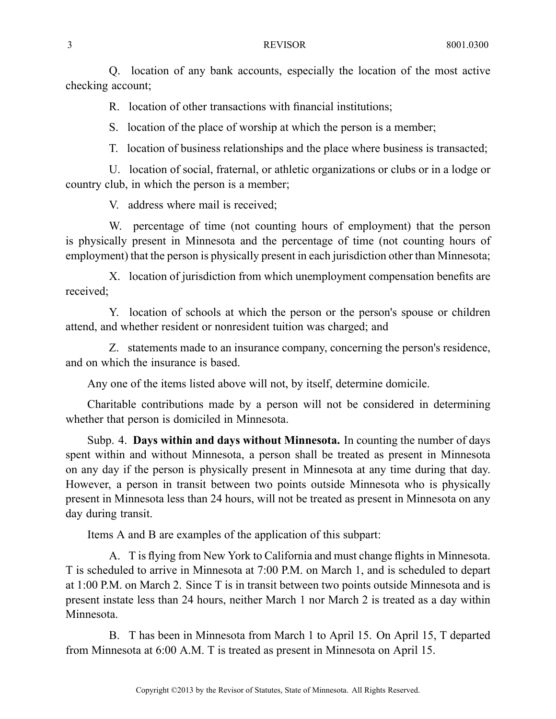Q. location of any bank accounts, especially the location of the most active checking account;

R. location of other transactions with financial institutions;

S. location of the place of worship at which the person is <sup>a</sup> member;

T. location of business relationships and the place where business is transacted;

U. location of social, fraternal, or athletic organizations or clubs or in <sup>a</sup> lodge or country club, in which the person is <sup>a</sup> member;

V. address where mail is received;

W. percentage of time (not counting hours of employment) that the person is physically presen<sup>t</sup> in Minnesota and the percentage of time (not counting hours of employment) that the person is physically presen<sup>t</sup> in each jurisdiction other than Minnesota;

X. location of jurisdiction from which unemployment compensation benefits are received;

Y. location of schools at which the person or the person's spouse or children attend, and whether resident or nonresident tuition was charged; and

Z. statements made to an insurance company, concerning the person's residence, and on which the insurance is based.

Any one of the items listed above will not, by itself, determine domicile.

Charitable contributions made by <sup>a</sup> person will not be considered in determining whether that person is domiciled in Minnesota.

Subp. 4. **Days within and days without Minnesota.** In counting the number of days spen<sup>t</sup> within and without Minnesota, <sup>a</sup> person shall be treated as presen<sup>t</sup> in Minnesota on any day if the person is physically presen<sup>t</sup> in Minnesota at any time during that day. However, <sup>a</sup> person in transit between two points outside Minnesota who is physically presen<sup>t</sup> in Minnesota less than 24 hours, will not be treated as presen<sup>t</sup> in Minnesota on any day during transit.

Items A and B are examples of the application of this subpart:

A. T is flying from New York to California and must change flights in Minnesota. T is scheduled to arrive in Minnesota at 7:00 P.M. on March 1, and is scheduled to depart at 1:00 P.M. on March 2. Since T is in transit between two points outside Minnesota and is presen<sup>t</sup> instate less than 24 hours, neither March 1 nor March 2 is treated as <sup>a</sup> day within Minnesota.

B. T has been in Minnesota from March 1 to April 15. On April 15, T departed from Minnesota at 6:00 A.M. T is treated as presen<sup>t</sup> in Minnesota on April 15.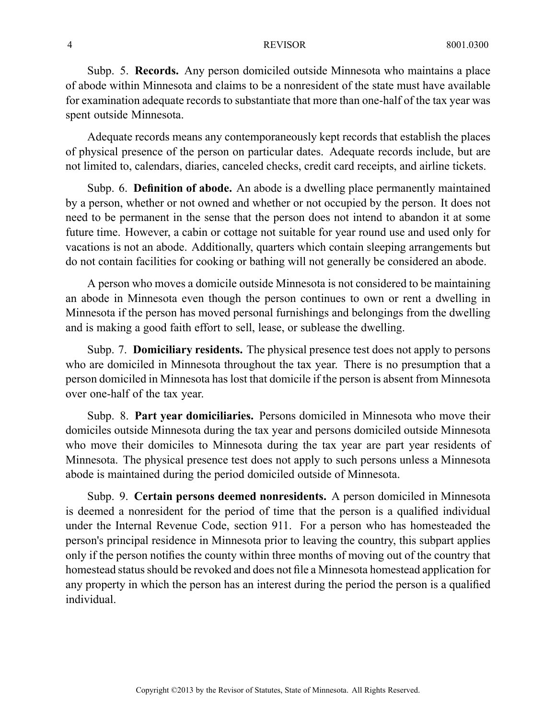Subp. 5. **Records.** Any person domiciled outside Minnesota who maintains <sup>a</sup> place of abode within Minnesota and claims to be <sup>a</sup> nonresident of the state must have available for examination adequate records to substantiate that more than one-half of the tax year was spen<sup>t</sup> outside Minnesota.

Adequate records means any contemporaneously kept records that establish the places of physical presence of the person on particular dates. Adequate records include, but are not limited to, calendars, diaries, canceled checks, credit card receipts, and airline tickets.

Subp. 6. **Definition of abode.** An abode is <sup>a</sup> dwelling place permanently maintained by <sup>a</sup> person, whether or not owned and whether or not occupied by the person. It does not need to be permanen<sup>t</sup> in the sense that the person does not intend to abandon it at some future time. However, <sup>a</sup> cabin or cottage not suitable for year round use and used only for vacations is not an abode. Additionally, quarters which contain sleeping arrangements but do not contain facilities for cooking or bathing will not generally be considered an abode.

A person who moves <sup>a</sup> domicile outside Minnesota is not considered to be maintaining an abode in Minnesota even though the person continues to own or rent <sup>a</sup> dwelling in Minnesota if the person has moved personal furnishings and belongings from the dwelling and is making <sup>a</sup> good faith effort to sell, lease, or sublease the dwelling.

Subp. 7. **Domiciliary residents.** The physical presence test does not apply to persons who are domiciled in Minnesota throughout the tax year. There is no presumption that <sup>a</sup> person domiciled in Minnesota has lost that domicile if the person is absent from Minnesota over one-half of the tax year.

Subp. 8. **Part year domiciliaries.** Persons domiciled in Minnesota who move their domiciles outside Minnesota during the tax year and persons domiciled outside Minnesota who move their domiciles to Minnesota during the tax year are par<sup>t</sup> year residents of Minnesota. The physical presence test does not apply to such persons unless <sup>a</sup> Minnesota abode is maintained during the period domiciled outside of Minnesota.

Subp. 9. **Certain persons deemed nonresidents.** A person domiciled in Minnesota is deemed <sup>a</sup> nonresident for the period of time that the person is <sup>a</sup> qualified individual under the Internal Revenue Code, section 911. For <sup>a</sup> person who has homesteaded the person's principal residence in Minnesota prior to leaving the country, this subpart applies only if the person notifies the county within three months of moving out of the country that homestead status should be revoked and does not file a Minnesota homestead application for any property in which the person has an interest during the period the person is <sup>a</sup> qualified individual.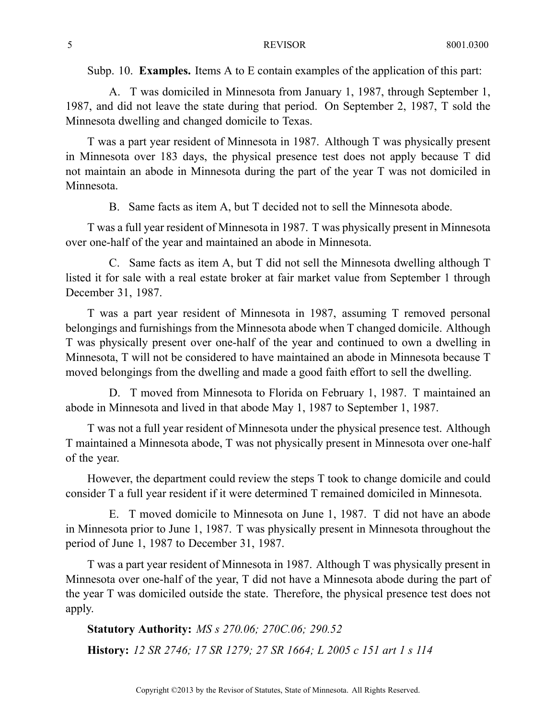Subp. 10. **Examples.** Items A to E contain examples of the application of this part:

A. T was domiciled in Minnesota from January 1, 1987, through September 1, 1987, and did not leave the state during that period. On September 2, 1987, T sold the Minnesota dwelling and changed domicile to Texas.

T was <sup>a</sup> par<sup>t</sup> year resident of Minnesota in 1987. Although T was physically presen<sup>t</sup> in Minnesota over 183 days, the physical presence test does not apply because T did not maintain an abode in Minnesota during the par<sup>t</sup> of the year T was not domiciled in Minnesota.

B. Same facts as item A, but T decided not to sell the Minnesota abode.

T was <sup>a</sup> full year resident of Minnesota in 1987. T was physically presen<sup>t</sup> in Minnesota over one-half of the year and maintained an abode in Minnesota.

C. Same facts as item A, but T did not sell the Minnesota dwelling although T listed it for sale with <sup>a</sup> real estate broker at fair market value from September 1 through December 31, 1987.

T was <sup>a</sup> par<sup>t</sup> year resident of Minnesota in 1987, assuming T removed personal belongings and furnishings from the Minnesota abode when T changed domicile. Although T was physically presen<sup>t</sup> over one-half of the year and continued to own <sup>a</sup> dwelling in Minnesota, T will not be considered to have maintained an abode in Minnesota because T moved belongings from the dwelling and made <sup>a</sup> good faith effort to sell the dwelling.

D. T moved from Minnesota to Florida on February 1, 1987. T maintained an abode in Minnesota and lived in that abode May 1, 1987 to September 1, 1987.

T was not <sup>a</sup> full year resident of Minnesota under the physical presence test. Although T maintained <sup>a</sup> Minnesota abode, T was not physically presen<sup>t</sup> in Minnesota over one-half of the year.

However, the department could review the steps T took to change domicile and could consider T <sup>a</sup> full year resident if it were determined T remained domiciled in Minnesota.

E. T moved domicile to Minnesota on June 1, 1987. T did not have an abode in Minnesota prior to June 1, 1987. T was physically presen<sup>t</sup> in Minnesota throughout the period of June 1, 1987 to December 31, 1987.

T was <sup>a</sup> par<sup>t</sup> year resident of Minnesota in 1987. Although T was physically presen<sup>t</sup> in Minnesota over one-half of the year, T did not have <sup>a</sup> Minnesota abode during the par<sup>t</sup> of the year T was domiciled outside the state. Therefore, the physical presence test does not apply.

**Statutory Authority:** *MS <sup>s</sup> 270.06; 270C.06; 290.52* **History:** *12 SR 2746; 17 SR 1279; 27 SR 1664; L 2005 <sup>c</sup> 151 art 1 <sup>s</sup> 114*